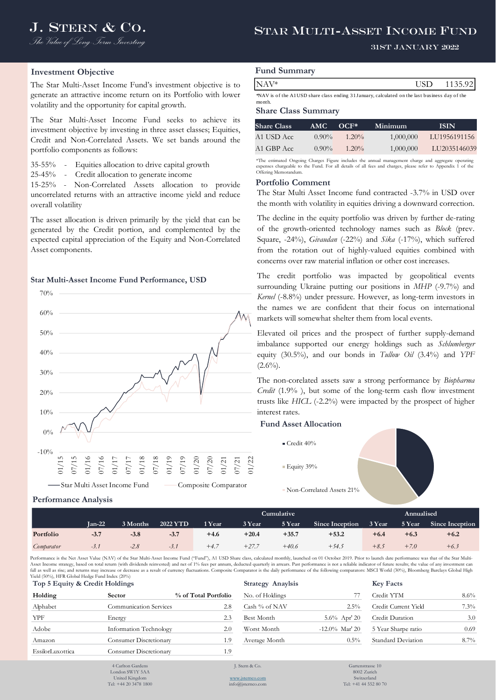# J. STERN & CO. STAR MULTI-ASSET INCOME FUND

## 31st January 2022

#### **Investment Objective**

The Star Multi-Asset Income Fund's investment objective is to generate an attractive income return on its Portfolio with lower volatility and the opportunity for capital growth.

The Star Multi-Asset Income Fund seeks to achieve its investment objective by investing in three asset classes; Equities, Credit and Non-Correlated Assets. We set bands around the portfolio components as follows:

35-55% - Equities allocation to drive capital growth

25-45% - Credit allocation to generate income

15-25% - Non-Correlated Assets allocation to provide uncorrelated returns with an attractive income yield and reduce overall volatility

The asset allocation is driven primarily by the yield that can be generated by the Credit portion, and complemented by the expected capital appreciation of the Equity and Non-Correlated Asset components.

#### **Star Multi-Asset Income Fund Performance, USD**



# **Fund Summary**

| NAV* | רו צי<br>$\sim$ $\sim$ $\sim$ | 1135.92<br>------ |
|------|-------------------------------|-------------------|
|      |                               |                   |

\*NAV is of the A1 USD share class ending 31 January, calculated on the last business day of the month.

#### **Share Class Summary**

| <b>Share Class</b> | AMC.     | $OCF*$   | Minimum   | <b>ISIN</b>  |
|--------------------|----------|----------|-----------|--------------|
| A1 USD Acc.        | $0.90\%$ | $1.20\%$ | 1,000,000 | LU1956191156 |
| A1 GBP Acc         | $0.90\%$ | $1.20\%$ | 1,000,000 | LU2035146039 |
|                    |          |          |           |              |

\*The estimated Ongoing Charges Figure includes the annual management charge and aggregate operating expenses chargeable to the Fund. For all details of all fees and charges, please refer to Appendix 1 of the Offering Memorandu

#### **Portfolio Comment**

The Star Multi Asset Income fund contracted -3.7% in USD over the month with volatility in equities driving a downward correction.

The decline in the equity portfolio was driven by further de-rating of the growth-oriented technology names such as *Block* (prev. Square, -24%), *Givaudan* (-22%) and *Sika* (-17%), which suffered from the rotation out of highly-valued equities combined with concerns over raw material inflation or other cost increases.

NAV\*<br> **CUMUSE ANDER CONSTRANT**<br> **CUMUSE ANDER CLASS SUPPRIMPLY ANDER CONSTRANT CONSTRANT CONSTRANT CLASS SUPPRIMPLY**<br>
STRANE CLASS SUPPRIMPTY<br>
STRANE CLASS SUPPRIMPTY<br>
STRANE CLASS SUPPRIMPTY<br>
ANDER CLASS SUPPRIMPTY<br>
ANDER The credit portfolio was impacted by geopolitical events surrounding Ukraine putting our positions in *MHP* (-9.7%) and *Kernel* (-8.8%) under pressure. However, as long-term investors in the names we are confident that their focus on international markets will somewhat shelter them from local events.

Elevated oil prices and the prospect of further supply-demand imbalance supported our energy holdings such as *Schlumberger* equity (30.5%), and our bonds in *Tullow Oil* (3.4%) and *YPF*  $(2.6\%)$ .

The non-corelated assets saw a strong performance by *Biopharma Credit* (1.9% ), but some of the long-term cash flow investment trusts like *HICL* (-2.2%) were impacted by the prospect of higher interest rates.

## **Fund Asset Allocation**

 $C_{\text{redit}}$  40%

**Equity 39%** 

Non-Correlated Assets 21%

#### **Performance Analysis**

|            |          |          |                 |        | Cumulative | Annualised |                        |        |        |                 |
|------------|----------|----------|-----------------|--------|------------|------------|------------------------|--------|--------|-----------------|
|            | $Tan-22$ | 3 Months | <b>2022 YTD</b> | 1 Year | 3 Year     | 5 Year     | <b>Since Inception</b> | 3 Year | 5 Year | Since Inception |
| Portfolio  | $-3.7$   | $-3.8$   | $-3.7$          | $+4.6$ | $+20.4$    | $+35.7$    | $+53.2$                | $+6.4$ | $+6.3$ | $+6.2$          |
| Comparator | $-3.1$   | $-2.8$   | $-2.1$          | $+4.$  | $+27.7$    | $+40.6$    | $+54.5$                | $+8.5$ | $+7.0$ | $+6.3$          |

Performance is the Net Asset Value (NAV) of the Star Multi-Asset Income Fund ("Fund"), A1 USD Share class, calculated monthly, launched on 01 October 2019. Prior to launch date performance was that of the Star Multi-Asset Income strategy, based on total return (with dividends reinvested) and net of 1% fees per annum, deducted quarterly in arrears. Past performance is not a reliable indicator of future results; the value of any investm fall as well as rise; and returns may increase or decrease as a result of currency fluctuations. Composite Comparator is the daily performance of the following comparators: MSCI World (30%), Bloomberg Barclays Global High Yield (50%), HFR Global Hedge Fund Index (20%) **Top 5 Equity & Credit Holdings** 

| Holding          | <b>Sector</b>                 | % of Total Portfolio |
|------------------|-------------------------------|----------------------|
| Alphabet         | <b>Communication Services</b> | 2.8                  |
| YPF              | Energy                        | 2.3                  |
| Adobe            | Information Technology        | 2.0                  |
| Amazon           | Consumer Discretionary        | 1.9                  |
| EssilorLuxottica | Consumer Discretionary        | 1.9                  |
|                  |                               |                      |

| iela (50%), FIFR GIODAI Heage Fund Index (20%)<br>Top 5 Equity & Credit Holdings |                        |                      | <b>Strategy Anaylsis</b> |                   | <b>Key Facts</b>     |         |  |  |
|----------------------------------------------------------------------------------|------------------------|----------------------|--------------------------|-------------------|----------------------|---------|--|--|
| Holding                                                                          | <b>Sector</b>          | % of Total Portfolio | No. of Holdings          |                   | Credit YTM           | $8.6\%$ |  |  |
| Alphabet                                                                         | Communication Services | 2.8                  | Cash % of NAV            | $2.5\%$           | Credit Current Yield | $7.3\%$ |  |  |
| YPF                                                                              | Energy                 | 2.3                  | Best Month               | $5.6\%$ Apr' 20   | Credit Duration      | 3.0     |  |  |
| Adobe                                                                            | Information Technology | 2.0                  | Worst Month              | $-12.0\%$ Mar' 20 | 5 Year Sharpe ratio  | 0.69    |  |  |
| Amazon                                                                           | Consumer Discretionary | 1.9                  | Average Month            | $0.5\%$           | Standard Deviation   | $8.7\%$ |  |  |

4 Carlton Garden London SW1Y 5AA United Kingdom Tel: +44 20 3478 1800

[www.jsternco.com](http://www.jsternco.com/) info@jsternco.com

Gartenstrasse 10 8002 Zurich Switzerland Tel: +41 44 552 80 70